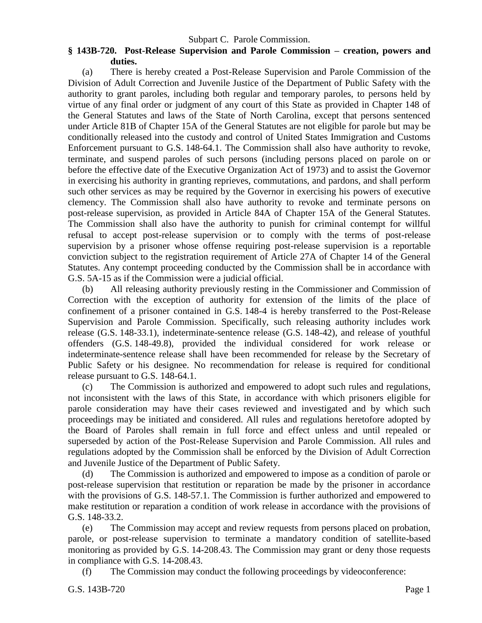## Subpart C. Parole Commission.

## **§ 143B-720. Post-Release Supervision and Parole Commission – creation, powers and duties.**

(a) There is hereby created a Post-Release Supervision and Parole Commission of the Division of Adult Correction and Juvenile Justice of the Department of Public Safety with the authority to grant paroles, including both regular and temporary paroles, to persons held by virtue of any final order or judgment of any court of this State as provided in Chapter 148 of the General Statutes and laws of the State of North Carolina, except that persons sentenced under Article 81B of Chapter 15A of the General Statutes are not eligible for parole but may be conditionally released into the custody and control of United States Immigration and Customs Enforcement pursuant to G.S. 148-64.1. The Commission shall also have authority to revoke, terminate, and suspend paroles of such persons (including persons placed on parole on or before the effective date of the Executive Organization Act of 1973) and to assist the Governor in exercising his authority in granting reprieves, commutations, and pardons, and shall perform such other services as may be required by the Governor in exercising his powers of executive clemency. The Commission shall also have authority to revoke and terminate persons on post-release supervision, as provided in Article 84A of Chapter 15A of the General Statutes. The Commission shall also have the authority to punish for criminal contempt for willful refusal to accept post-release supervision or to comply with the terms of post-release supervision by a prisoner whose offense requiring post-release supervision is a reportable conviction subject to the registration requirement of Article 27A of Chapter 14 of the General Statutes. Any contempt proceeding conducted by the Commission shall be in accordance with G.S. 5A-15 as if the Commission were a judicial official.

(b) All releasing authority previously resting in the Commissioner and Commission of Correction with the exception of authority for extension of the limits of the place of confinement of a prisoner contained in G.S. 148-4 is hereby transferred to the Post-Release Supervision and Parole Commission. Specifically, such releasing authority includes work release (G.S. 148-33.1), indeterminate-sentence release (G.S. 148-42), and release of youthful offenders (G.S. 148-49.8), provided the individual considered for work release or indeterminate-sentence release shall have been recommended for release by the Secretary of Public Safety or his designee. No recommendation for release is required for conditional release pursuant to G.S. 148-64.1.

(c) The Commission is authorized and empowered to adopt such rules and regulations, not inconsistent with the laws of this State, in accordance with which prisoners eligible for parole consideration may have their cases reviewed and investigated and by which such proceedings may be initiated and considered. All rules and regulations heretofore adopted by the Board of Paroles shall remain in full force and effect unless and until repealed or superseded by action of the Post-Release Supervision and Parole Commission. All rules and regulations adopted by the Commission shall be enforced by the Division of Adult Correction and Juvenile Justice of the Department of Public Safety.

(d) The Commission is authorized and empowered to impose as a condition of parole or post-release supervision that restitution or reparation be made by the prisoner in accordance with the provisions of G.S. 148-57.1. The Commission is further authorized and empowered to make restitution or reparation a condition of work release in accordance with the provisions of G.S. 148-33.2.

(e) The Commission may accept and review requests from persons placed on probation, parole, or post-release supervision to terminate a mandatory condition of satellite-based monitoring as provided by G.S. 14-208.43. The Commission may grant or deny those requests in compliance with G.S. 14-208.43.

(f) The Commission may conduct the following proceedings by videoconference: